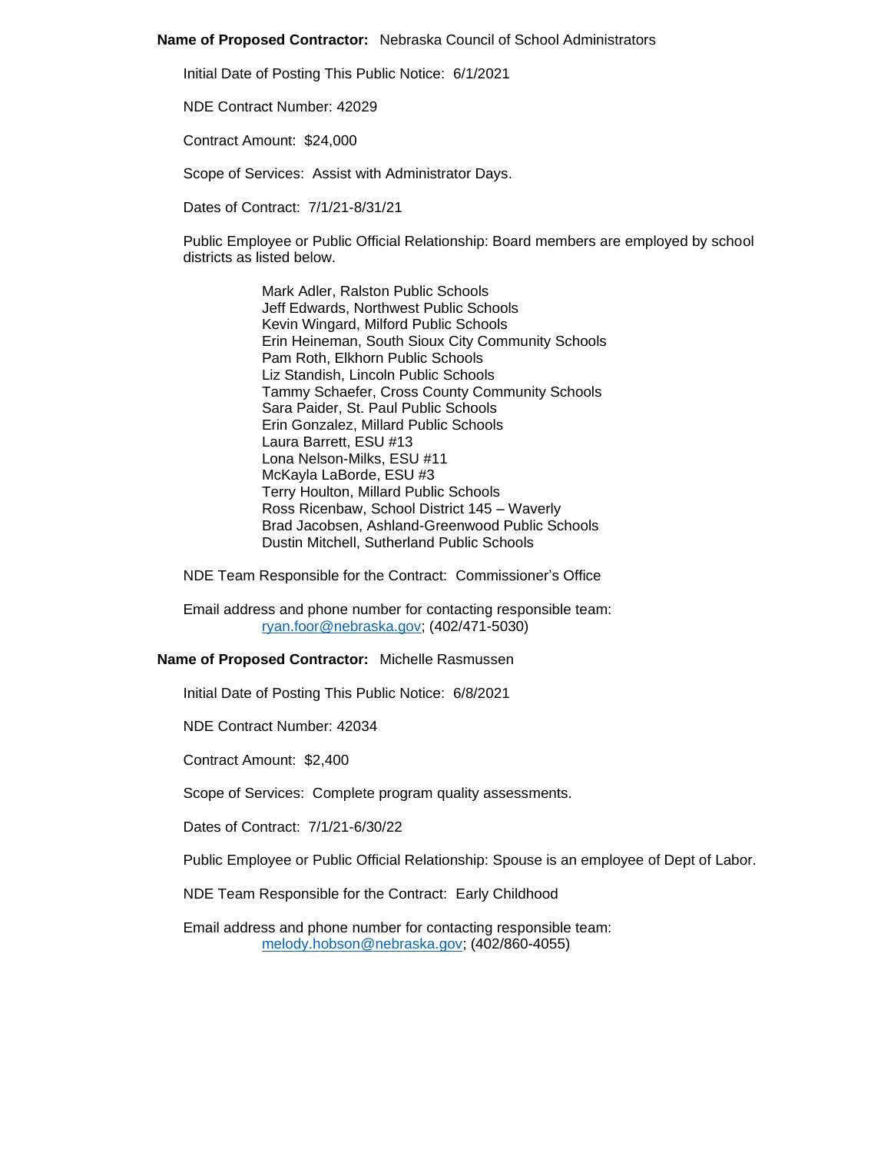### **Name of Proposed Contractor:** Nebraska Council of School Administrators

Initial Date of Posting This Public Notice: 6/1/2021

NDE Contract Number: 42029

Contract Amount: \$24,000

Scope of Services: Assist with Administrator Days.

Dates of Contract: 7/1/21-8/31/21

Public Employee or Public Official Relationship: Board members are employed by school districts as listed below.

> Mark Adler, Ralston Public Schools Jeff Edwards, Northwest Public Schools Kevin Wingard, Milford Public Schools Erin Heineman, South Sioux City Community Schools Pam Roth, Elkhorn Public Schools Liz Standish, Lincoln Public Schools Tammy Schaefer, Cross County Community Schools Sara Paider, St. Paul Public Schools Erin Gonzalez, Millard Public Schools Laura Barrett, ESU #13 Lona Nelson-Milks, ESU #11 McKayla LaBorde, ESU #3 Terry Houlton, Millard Public Schools Ross Ricenbaw, School District 145 – Waverly Brad Jacobsen, Ashland-Greenwood Public Schools Dustin Mitchell, Sutherland Public Schools

NDE Team Responsible for the Contract: Commissioner's Office

Email address and phone number for contacting responsible team: [ryan.foor@nebraska.gov;](mailto:ryan.foor@nebraska.gov) (402/471-5030)

### **Name of Proposed Contractor:** Michelle Rasmussen

Initial Date of Posting This Public Notice: 6/8/2021

NDE Contract Number: 42034

Contract Amount: \$2,400

Scope of Services: Complete program quality assessments.

Dates of Contract: 7/1/21-6/30/22

Public Employee or Public Official Relationship: Spouse is an employee of Dept of Labor.

NDE Team Responsible for the Contract: Early Childhood

Email address and phone number for contacting responsible team: [melody.hobson@nebraska.gov;](mailto:melody.hobson@nebraska.gov) (402/860-4055)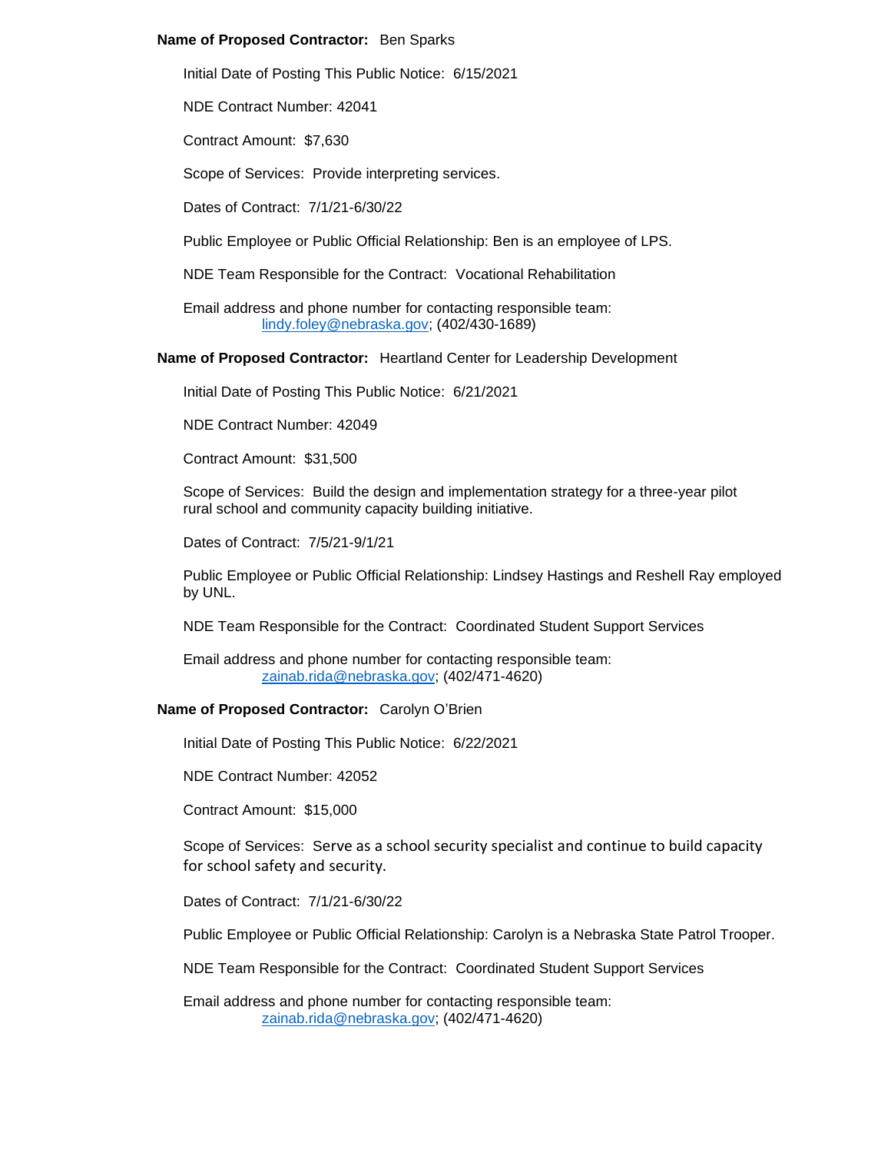## **Name of Proposed Contractor:** Ben Sparks

Initial Date of Posting This Public Notice: 6/15/2021

NDE Contract Number: 42041

Contract Amount: \$7,630

Scope of Services: Provide interpreting services.

Dates of Contract: 7/1/21-6/30/22

Public Employee or Public Official Relationship: Ben is an employee of LPS.

NDE Team Responsible for the Contract: Vocational Rehabilitation

Email address and phone number for contacting responsible team: [lindy.foley@nebraska.gov;](mailto:lindy.foley@nebraska.gov) (402/430-1689)

**Name of Proposed Contractor:** Heartland Center for Leadership Development

Initial Date of Posting This Public Notice: 6/21/2021

NDE Contract Number: 42049

Contract Amount: \$31,500

Scope of Services: Build the design and implementation strategy for a three-year pilot rural school and community capacity building initiative.

Dates of Contract: 7/5/21-9/1/21

Public Employee or Public Official Relationship: Lindsey Hastings and Reshell Ray employed by UNL.

NDE Team Responsible for the Contract: Coordinated Student Support Services

Email address and phone number for contacting responsible team: [zainab.rida@nebraska.gov;](mailto:zainab.rida@nebraska.gov) (402/471-4620)

## **Name of Proposed Contractor:** Carolyn O'Brien

Initial Date of Posting This Public Notice: 6/22/2021

NDE Contract Number: 42052

Contract Amount: \$15,000

Scope of Services: Serve as a school security specialist and continue to build capacity for school safety and security.

Dates of Contract: 7/1/21-6/30/22

Public Employee or Public Official Relationship: Carolyn is a Nebraska State Patrol Trooper.

NDE Team Responsible for the Contract: Coordinated Student Support Services

Email address and phone number for contacting responsible team: [zainab.rida@nebraska.gov;](mailto:zainab.rida@nebraska.gov) (402/471-4620)